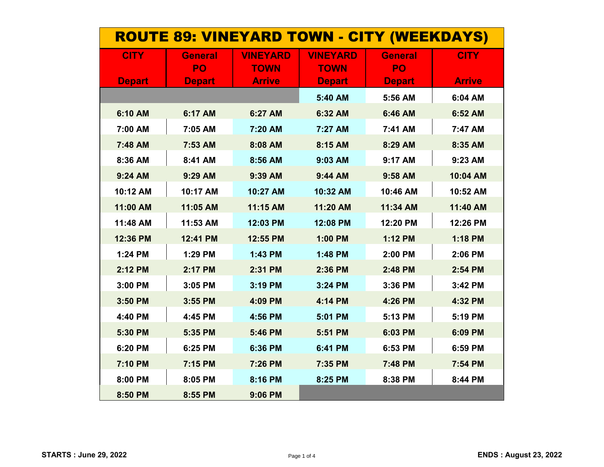| <b>ROUTE 89: VINEYARD TOWN - CITY (WEEKDAYS)</b> |                     |                              |                              |                     |               |
|--------------------------------------------------|---------------------|------------------------------|------------------------------|---------------------|---------------|
| <b>CITY</b>                                      | <b>General</b>      | <b>VINEYARD</b>              | <b>VINEYARD</b>              | <b>General</b>      | <b>CITY</b>   |
| <b>Depart</b>                                    | PO<br><b>Depart</b> | <b>TOWN</b><br><b>Arrive</b> | <b>TOWN</b><br><b>Depart</b> | PO<br><b>Depart</b> | <b>Arrive</b> |
|                                                  |                     |                              | 5:40 AM                      | 5:56 AM             | 6:04 AM       |
| 6:10 AM                                          | 6:17 AM             | 6:27 AM                      | 6:32 AM                      | 6:46 AM             | 6:52 AM       |
| 7:00 AM                                          | 7:05 AM             | 7:20 AM                      | 7:27 AM                      | 7:41 AM             | 7:47 AM       |
| 7:48 AM                                          | 7:53 AM             | 8:08 AM                      | 8:15 AM                      | 8:29 AM             | 8:35 AM       |
| 8:36 AM                                          | 8:41 AM             | 8:56 AM                      | 9:03 AM                      | 9:17 AM             | 9:23 AM       |
| 9:24 AM                                          | 9:29 AM             | 9:39 AM                      | 9:44 AM                      | 9:58 AM             | 10:04 AM      |
| 10:12 AM                                         | 10:17 AM            | 10:27 AM                     | 10:32 AM                     | 10:46 AM            | 10:52 AM      |
| 11:00 AM                                         | 11:05 AM            | 11:15 AM                     | 11:20 AM                     | 11:34 AM            | 11:40 AM      |
| 11:48 AM                                         | 11:53 AM            | 12:03 PM                     | 12:08 PM                     | 12:20 PM            | 12:26 PM      |
| 12:36 PM                                         | 12:41 PM            | 12:55 PM                     | 1:00 PM                      | 1:12 PM             | 1:18 PM       |
| 1:24 PM                                          | 1:29 PM             | 1:43 PM                      | 1:48 PM                      | 2:00 PM             | 2:06 PM       |
| 2:12 PM                                          | 2:17 PM             | 2:31 PM                      | 2:36 PM                      | 2:48 PM             | 2:54 PM       |
| 3:00 PM                                          | 3:05 PM             | 3:19 PM                      | 3:24 PM                      | 3:36 PM             | 3:42 PM       |
| 3:50 PM                                          | 3:55 PM             | 4:09 PM                      | 4:14 PM                      | 4:26 PM             | 4:32 PM       |
| 4:40 PM                                          | 4:45 PM             | 4:56 PM                      | 5:01 PM                      | 5:13 PM             | 5:19 PM       |
| 5:30 PM                                          | 5:35 PM             | 5:46 PM                      | 5:51 PM                      | 6:03 PM             | 6:09 PM       |
| 6:20 PM                                          | 6:25 PM             | 6:36 PM                      | 6:41 PM                      | 6:53 PM             | 6:59 PM       |
| 7:10 PM                                          | 7:15 PM             | 7:26 PM                      | 7:35 PM                      | 7:48 PM             | 7:54 PM       |
| 8:00 PM                                          | 8:05 PM             | 8:16 PM                      | 8:25 PM                      | 8:38 PM             | 8:44 PM       |
| 8:50 PM                                          | 8:55 PM             | 9:06 PM                      |                              |                     |               |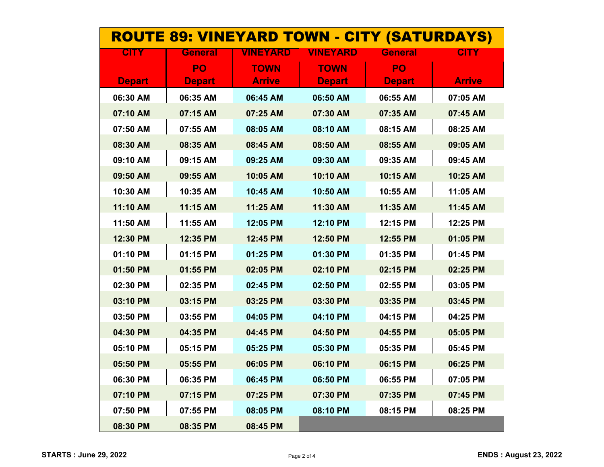| <b>ROUTE 89: VINEYARD TOWN - CITY (SATURDAYS)</b> |                |                 |                 |                |               |
|---------------------------------------------------|----------------|-----------------|-----------------|----------------|---------------|
| <b>CITY</b>                                       | <b>General</b> | <b>VINEYARD</b> | <b>VINEYARD</b> | <b>General</b> | <b>CITY</b>   |
|                                                   | PO             | <b>TOWN</b>     | <b>TOWN</b>     | PO             |               |
| <b>Depart</b>                                     | <b>Depart</b>  | <b>Arrive</b>   | <b>Depart</b>   | <b>Depart</b>  | <b>Arrive</b> |
| 06:30 AM                                          | 06:35 AM       | 06:45 AM        | 06:50 AM        | 06:55 AM       | 07:05 AM      |
| 07:10 AM                                          | 07:15 AM       | 07:25 AM        | 07:30 AM        | 07:35 AM       | 07:45 AM      |
| 07:50 AM                                          | 07:55 AM       | 08:05 AM        | 08:10 AM        | 08:15 AM       | 08:25 AM      |
| 08:30 AM                                          | 08:35 AM       | 08:45 AM        | 08:50 AM        | 08:55 AM       | 09:05 AM      |
| 09:10 AM                                          | 09:15 AM       | 09:25 AM        | 09:30 AM        | 09:35 AM       | 09:45 AM      |
| 09:50 AM                                          | 09:55 AM       | 10:05 AM        | 10:10 AM        | 10:15 AM       | 10:25 AM      |
| 10:30 AM                                          | 10:35 AM       | 10:45 AM        | 10:50 AM        | 10:55 AM       | 11:05 AM      |
| 11:10 AM                                          | 11:15 AM       | 11:25 AM        | 11:30 AM        | 11:35 AM       | 11:45 AM      |
| 11:50 AM                                          | 11:55 AM       | 12:05 PM        | 12:10 PM        | 12:15 PM       | 12:25 PM      |
| 12:30 PM                                          | 12:35 PM       | 12:45 PM        | 12:50 PM        | 12:55 PM       | 01:05 PM      |
| 01:10 PM                                          | 01:15 PM       | 01:25 PM        | 01:30 PM        | 01:35 PM       | 01:45 PM      |
| 01:50 PM                                          | 01:55 PM       | 02:05 PM        | 02:10 PM        | 02:15 PM       | 02:25 PM      |
| 02:30 PM                                          | 02:35 PM       | 02:45 PM        | 02:50 PM        | 02:55 PM       | 03:05 PM      |
| 03:10 PM                                          | 03:15 PM       | 03:25 PM        | 03:30 PM        | 03:35 PM       | 03:45 PM      |
| 03:50 PM                                          | 03:55 PM       | 04:05 PM        | 04:10 PM        | 04:15 PM       | 04:25 PM      |
| 04:30 PM                                          | 04:35 PM       | 04:45 PM        | 04:50 PM        | 04:55 PM       | 05:05 PM      |
| 05:10 PM                                          | 05:15 PM       | 05:25 PM        | 05:30 PM        | 05:35 PM       | 05:45 PM      |
| 05:50 PM                                          | 05:55 PM       | 06:05 PM        | 06:10 PM        | 06:15 PM       | 06:25 PM      |
| 06:30 PM                                          | 06:35 PM       | 06:45 PM        | 06:50 PM        | 06:55 PM       | 07:05 PM      |
| 07:10 PM                                          | 07:15 PM       | 07:25 PM        | 07:30 PM        | 07:35 PM       | 07:45 PM      |
| 07:50 PM                                          | 07:55 PM       | 08:05 PM        | 08:10 PM        | 08:15 PM       | 08:25 PM      |
| 08:30 PM                                          | 08:35 PM       | 08:45 PM        |                 |                |               |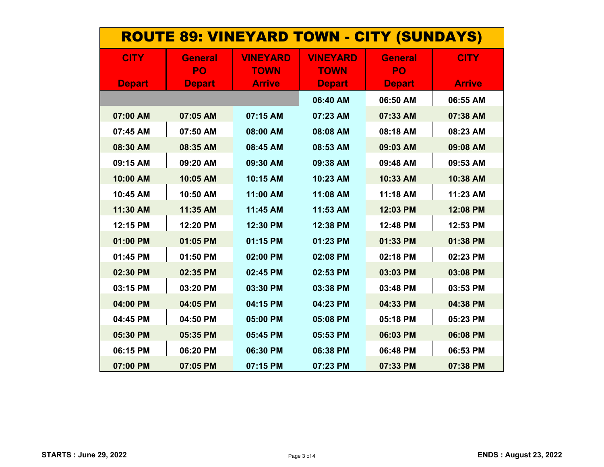| <b>ROUTE 89: VINEYARD TOWN - CITY (SUNDAYS)</b> |                      |                                |                                |                      |               |
|-------------------------------------------------|----------------------|--------------------------------|--------------------------------|----------------------|---------------|
| <b>CITY</b>                                     | <b>General</b><br>PO | <b>VINEYARD</b><br><b>TOWN</b> | <b>VINEYARD</b><br><b>TOWN</b> | <b>General</b><br>PO | <b>CITY</b>   |
| <b>Depart</b>                                   | <b>Depart</b>        | <b>Arrive</b>                  | <b>Depart</b>                  | <b>Depart</b>        | <b>Arrive</b> |
|                                                 |                      |                                | 06:40 AM                       | 06:50 AM             | 06:55 AM      |
| 07:00 AM                                        | 07:05 AM             | 07:15 AM                       | 07:23 AM                       | 07:33 AM             | 07:38 AM      |
| 07:45 AM                                        | 07:50 AM             | 08:00 AM                       | 08:08 AM                       | 08:18 AM             | 08:23 AM      |
| 08:30 AM                                        | 08:35 AM             | 08:45 AM                       | 08:53 AM                       | 09:03 AM             | 09:08 AM      |
| 09:15 AM                                        | 09:20 AM             | 09:30 AM                       | 09:38 AM                       | 09:48 AM             | 09:53 AM      |
| 10:00 AM                                        | 10:05 AM             | 10:15 AM                       | 10:23 AM                       | 10:33 AM             | 10:38 AM      |
| 10:45 AM                                        | 10:50 AM             | 11:00 AM                       | 11:08 AM                       | 11:18 AM             | 11:23 AM      |
| 11:30 AM                                        | 11:35 AM             | 11:45 AM                       | 11:53 AM                       | 12:03 PM             | 12:08 PM      |
| 12:15 PM                                        | 12:20 PM             | 12:30 PM                       | 12:38 PM                       | 12:48 PM             | 12:53 PM      |
| 01:00 PM                                        | 01:05 PM             | 01:15 PM                       | 01:23 PM                       | 01:33 PM             | 01:38 PM      |
| 01:45 PM                                        | 01:50 PM             | 02:00 PM                       | 02:08 PM                       | 02:18 PM             | 02:23 PM      |
| 02:30 PM                                        | 02:35 PM             | 02:45 PM                       | 02:53 PM                       | 03:03 PM             | 03:08 PM      |
| 03:15 PM                                        | 03:20 PM             | 03:30 PM                       | 03:38 PM                       | 03:48 PM             | 03:53 PM      |
| 04:00 PM                                        | 04:05 PM             | 04:15 PM                       | 04:23 PM                       | 04:33 PM             | 04:38 PM      |
| 04:45 PM                                        | 04:50 PM             | 05:00 PM                       | 05:08 PM                       | 05:18 PM             | 05:23 PM      |
| 05:30 PM                                        | 05:35 PM             | 05:45 PM                       | 05:53 PM                       | 06:03 PM             | 06:08 PM      |
| 06:15 PM                                        | 06:20 PM             | 06:30 PM                       | 06:38 PM                       | 06:48 PM             | 06:53 PM      |
| 07:00 PM                                        | 07:05 PM             | 07:15 PM                       | 07:23 PM                       | 07:33 PM             | 07:38 PM      |